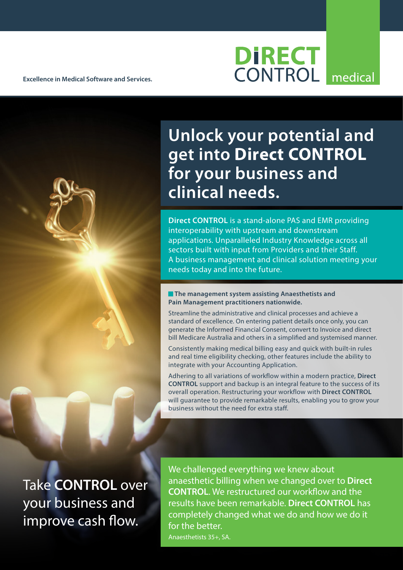**Excellence in Medical Software and Services.**

## **DIRECT CONTROL** medical

**Unlock your potential and get into Direct CONTROL for your business and clinical needs.**

**Direct CONTROL** is a stand-alone PAS and EMR providing interoperability with upstream and downstream applications. Unparalleled Industry Knowledge across all sectors built with input from Providers and their Staff. A business management and clinical solution meeting your needs today and into the future.

## **The management system assisting Anaesthetists and Pain Management practitioners nationwide.**

Streamline the administrative and clinical processes and achieve a standard of excellence. On entering patient details once only, you can generate the Informed Financial Consent, convert to Invoice and direct bill Medicare Australia and others in a simplified and systemised manner.

Consistently making medical billing easy and quick with built-in rules and real time eligibility checking, other features include the ability to integrate with your Accounting Application.

Adhering to all variations of workflow within a modern practice, **Direct CONTROL** support and backup is an integral feature to the success of its overall operation. Restructuring your workflow with **Direct CONTROL** will guarantee to provide remarkable results, enabling you to grow your business without the need for extra staff.

Take **CONTROL** over your business and improve cash flow.

We challenged everything we knew about anaesthetic billing when we changed over to **Direct CONTROL**. We restructured our workflow and the results have been remarkable. **Direct CONTROL** has completely changed what we do and how we do it for the better. Anaesthetists 35+, SA.